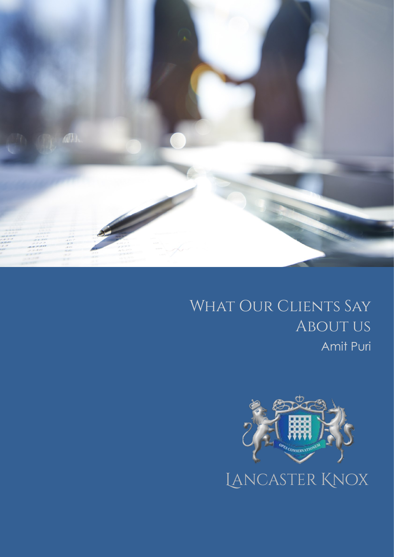

# WHAT OUR CLIENTS SAY **ABOUT US** Amit Puri

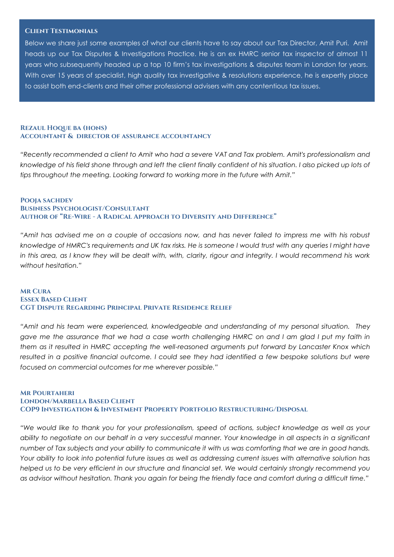#### **Client Testimonials**

Below we share just some examples of what our clients have to say about our Tax Director, Amit Puri. Amit heads up our Tax Disputes & Investigations Practice. He is an ex HMRC senior tax inspector of almost 11 years who subsequently headed up a top 10 firm's tax investigations & disputes team in London for years. With over 15 years of specialist, high quality tax investigative & resolutions experience, he is expertly place to assist both end-clients and their other professional advisers with any contentious tax issues.

## **Rezaul Hoque ba (hons) Accountant & director of assurance accountancy**

*"Recently recommended a client to Amit who had a severe VAT and Tax problem. Amit's professionalism and*  knowledge of his field shone through and left the client finally confident of his situation. I also picked up lots of *tips throughout the meeting. Looking forward to working more in the future with Amit."* 

## **Pooja sachdev Business Psychologist/Consultant Author of "Re-Wire - A Radical Approach to Diversity and Difference"**

*"Amit has advised me on a couple of occasions now, and has never failed to impress me with his robust knowledge of HMRC's requirements and UK tax risks. He is someone I would trust with any queries I might have*  in this area, as I know they will be dealt with, with, clarity, rigour and integrity. I would recommend his work *without hesitation."* 

#### **Mr Cura Essex Based Client CGT Dispute Regarding Principal Private Residence Relief**

*"Amit and his team were experienced, knowledgeable and understanding of my personal situation. They gave me the assurance that we had a case worth challenging HMRC on and I am glad I put my faith in them as it resulted in HMRC accepting the well-reasoned arguments put forward by Lancaster Knox which resulted in a positive financial outcome. I could see they had identified a few bespoke solutions but were focused on commercial outcomes for me wherever possible."*

## **Mr Pourtaheri London/Marbella Based Client COP9 Investigation & Investment Property Portfolio Restructuring/Disposal**

*"We would like to thank you for your professionalism, speed of actions, subject knowledge as well as your ability to negotiate on our behalf in a very successful manner. Your knowledge in all aspects in a significant number of Tax subjects and your ability to communicate it with us was comforting that we are in good hands. Your ability to look into potential future issues as well as addressing current issues with alternative solution has helped us to be very efficient in our structure and financial set. We would certainly strongly recommend you as advisor without hesitation. Thank you again for being the friendly face and comfort during a difficult time."*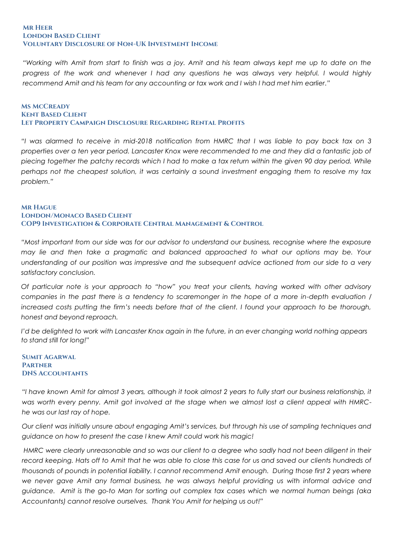#### **Mr Heer London Based Client Voluntary Disclosure of Non-UK Investment Income**

*"Working with Amit from start to finish was a joy. Amit and his team always kept me up to date on the progress of the work and whenever I had any questions he was always very helpful. I would highly recommend Amit and his team for any accounting or tax work and I wish I had met him earlier."*

## **Ms McCready Kent Based Client Let Property Campaign Disclosure Regarding Rental Profits**

*"I was alarmed to receive in mid-2018 notification from HMRC that I was liable to pay back tax on 3 properties over a ten year period. Lancaster Knox were recommended to me and they did a fantastic job of piecing together the patchy records which I had to make a tax return within the given 90 day period. While perhaps not the cheapest solution, it was certainly a sound investment engaging them to resolve my tax problem."*

## **Mr Hague London/Monaco Based Client COP9 Investigation & Corporate Central Management & Control**

*"Most important from our side was for our advisor to understand our business, recognise where the exposure may lie and then take a pragmatic and balanced approached to what our options may be. Your understanding of our position was impressive and the subsequent advice actioned from our side to a very satisfactory conclusion.*

*Of particular note is your approach to "how" you treat your clients, having worked with other advisory companies in the past there is a tendency to scaremonger in the hope of a more in-depth evaluation / increased costs putting the firm's needs before that of the client. I found your approach to be thorough, honest and beyond reproach.*

*I'd be delighted to work with Lancaster Knox again in the future, in an ever changing world nothing appears to stand still for long!"*

## **Sumit Agarwal Partner DNS Accountants**

*"I have known Amit for almost 3 years, although it took almost 2 years to fully start our business relationship, it was worth every penny. Amit got involved at the stage when we almost lost a client appeal with HMRChe was our last ray of hope.* 

*Our client was initially unsure about engaging Amit's services, but through his use of sampling techniques and guidance on how to present the case I knew Amit could work his magic!*

*HMRC were clearly unreasonable and so was our client to a degree who sadly had not been diligent in their record keeping. Hats off to Amit that he was able to close this case for us and saved our clients hundreds of thousands of pounds in potential liability. I cannot recommend Amit enough. During those first 2 years where we never gave Amit any formal business, he was always helpful providing us with informal advice and guidance. Amit is the go-to Man for sorting out complex tax cases which we normal human beings (aka Accountants) cannot resolve ourselves. Thank You Amit for helping us out!"*